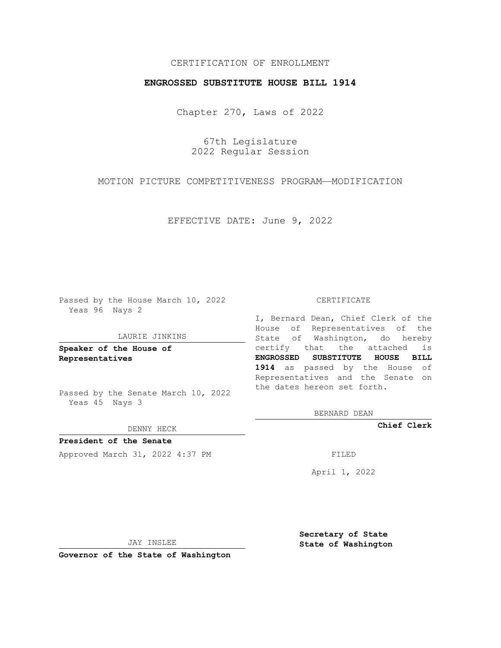## CERTIFICATION OF ENROLLMENT

## **ENGROSSED SUBSTITUTE HOUSE BILL 1914**

Chapter 270, Laws of 2022

67th Legislature 2022 Regular Session

MOTION PICTURE COMPETITIVENESS PROGRAM—MODIFICATION

EFFECTIVE DATE: June 9, 2022

Passed by the House March 10, 2022 Yeas 96 Nays 2

#### LAURIE JINKINS

**Speaker of the House of Representatives**

Passed by the Senate March 10, 2022 Yeas 45 Nays 3

DENNY HECK

**President of the Senate** Approved March 31, 2022 4:37 PM FILED

#### CERTIFICATE

I, Bernard Dean, Chief Clerk of the House of Representatives of the State of Washington, do hereby certify that the attached is **ENGROSSED SUBSTITUTE HOUSE BILL 1914** as passed by the House of Representatives and the Senate on the dates hereon set forth.

BERNARD DEAN

**Chief Clerk**

April 1, 2022

JAY INSLEE

**Governor of the State of Washington**

**Secretary of State State of Washington**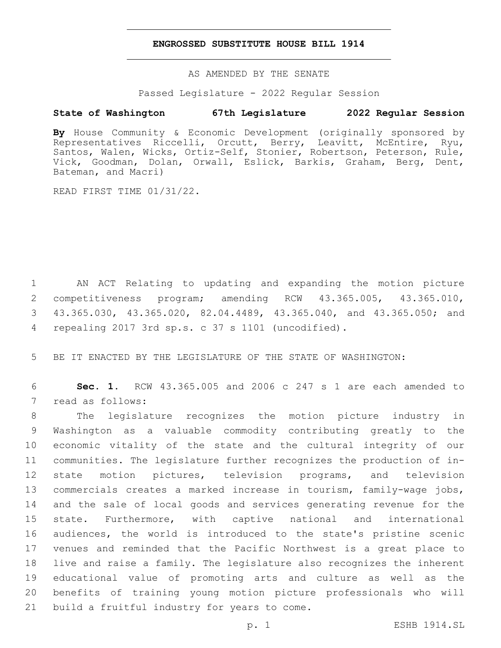## **ENGROSSED SUBSTITUTE HOUSE BILL 1914**

AS AMENDED BY THE SENATE

Passed Legislature - 2022 Regular Session

## **State of Washington 67th Legislature 2022 Regular Session**

**By** House Community & Economic Development (originally sponsored by Representatives Riccelli, Orcutt, Berry, Leavitt, McEntire, Ryu, Santos, Walen, Wicks, Ortiz-Self, Stonier, Robertson, Peterson, Rule, Vick, Goodman, Dolan, Orwall, Eslick, Barkis, Graham, Berg, Dent, Bateman, and Macri)

READ FIRST TIME 01/31/22.

 AN ACT Relating to updating and expanding the motion picture competitiveness program; amending RCW 43.365.005, 43.365.010, 43.365.030, 43.365.020, 82.04.4489, 43.365.040, and 43.365.050; and repealing 2017 3rd sp.s. c 37 s 1101 (uncodified).4

5 BE IT ENACTED BY THE LEGISLATURE OF THE STATE OF WASHINGTON:

6 **Sec. 1.** RCW 43.365.005 and 2006 c 247 s 1 are each amended to 7 read as follows:

 The legislature recognizes the motion picture industry in Washington as a valuable commodity contributing greatly to the economic vitality of the state and the cultural integrity of our communities. The legislature further recognizes the production of in- state motion pictures, television programs, and television commercials creates a marked increase in tourism, family-wage jobs, and the sale of local goods and services generating revenue for the state. Furthermore, with captive national and international audiences, the world is introduced to the state's pristine scenic venues and reminded that the Pacific Northwest is a great place to live and raise a family. The legislature also recognizes the inherent educational value of promoting arts and culture as well as the benefits of training young motion picture professionals who will 21 build a fruitful industry for years to come.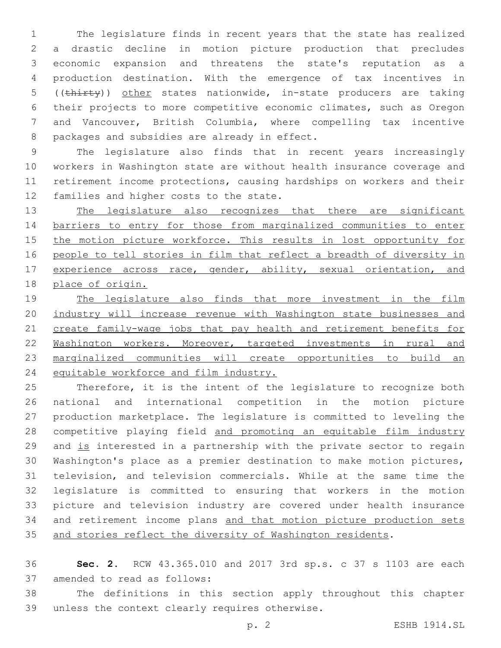The legislature finds in recent years that the state has realized a drastic decline in motion picture production that precludes economic expansion and threatens the state's reputation as a production destination. With the emergence of tax incentives in ((thirty)) other states nationwide, in-state producers are taking their projects to more competitive economic climates, such as Oregon and Vancouver, British Columbia, where compelling tax incentive 8 packages and subsidies are already in effect.

 The legislature also finds that in recent years increasingly workers in Washington state are without health insurance coverage and retirement income protections, causing hardships on workers and their 12 families and higher costs to the state.

13 The legislature also recognizes that there are significant barriers to entry for those from marginalized communities to enter 15 the motion picture workforce. This results in lost opportunity for people to tell stories in film that reflect a breadth of diversity in 17 experience across race, gender, ability, sexual orientation, and place of origin.

 The legislature also finds that more investment in the film industry will increase revenue with Washington state businesses and 21 create family-wage jobs that pay health and retirement benefits for Washington workers. Moreover, targeted investments in rural and marginalized communities will create opportunities to build an equitable workforce and film industry.

 Therefore, it is the intent of the legislature to recognize both national and international competition in the motion picture production marketplace. The legislature is committed to leveling the competitive playing field and promoting an equitable film industry and is interested in a partnership with the private sector to regain Washington's place as a premier destination to make motion pictures, television, and television commercials. While at the same time the legislature is committed to ensuring that workers in the motion picture and television industry are covered under health insurance and retirement income plans and that motion picture production sets 35 and stories reflect the diversity of Washington residents.

 **Sec. 2.** RCW 43.365.010 and 2017 3rd sp.s. c 37 s 1103 are each 37 amended to read as follows:

 The definitions in this section apply throughout this chapter 39 unless the context clearly requires otherwise.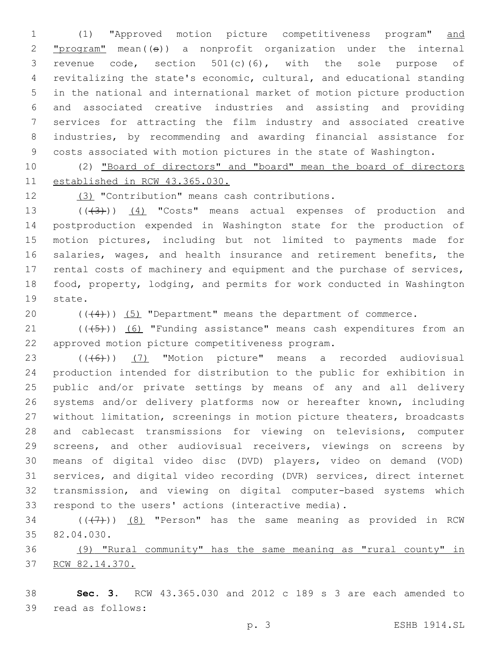(1) "Approved motion picture competitiveness program" and  $"program" mean((\theta))$  a nonprofit organization under the internal revenue code, section 501(c)(6), with the sole purpose of revitalizing the state's economic, cultural, and educational standing in the national and international market of motion picture production and associated creative industries and assisting and providing services for attracting the film industry and associated creative industries, by recommending and awarding financial assistance for costs associated with motion pictures in the state of Washington.

 (2) "Board of directors" and "board" mean the board of directors established in RCW 43.365.030.

(3) "Contribution" means cash contributions.12

13 (((43))) (4) "Costs" means actual expenses of production and postproduction expended in Washington state for the production of motion pictures, including but not limited to payments made for salaries, wages, and health insurance and retirement benefits, the rental costs of machinery and equipment and the purchase of services, food, property, lodging, and permits for work conducted in Washington 19 state.

20  $((+4))$   $(5)$  "Department" means the department of commerce.

 ( $(\overline{+5})$ ) (6) "Funding assistance" means cash expenditures from an approved motion picture competitiveness program.22

 (((6))) (7) "Motion picture" means a recorded audiovisual production intended for distribution to the public for exhibition in public and/or private settings by means of any and all delivery systems and/or delivery platforms now or hereafter known, including without limitation, screenings in motion picture theaters, broadcasts and cablecast transmissions for viewing on televisions, computer screens, and other audiovisual receivers, viewings on screens by means of digital video disc (DVD) players, video on demand (VOD) services, and digital video recording (DVR) services, direct internet transmission, and viewing on digital computer-based systems which respond to the users' actions (interactive media).

34  $((+7+))$   $(8)$  "Person" has the same meaning as provided in RCW 35 82.04.030.

 (9) "Rural community" has the same meaning as "rural county" in RCW 82.14.370.

 **Sec. 3.** RCW 43.365.030 and 2012 c 189 s 3 are each amended to 39 read as follows: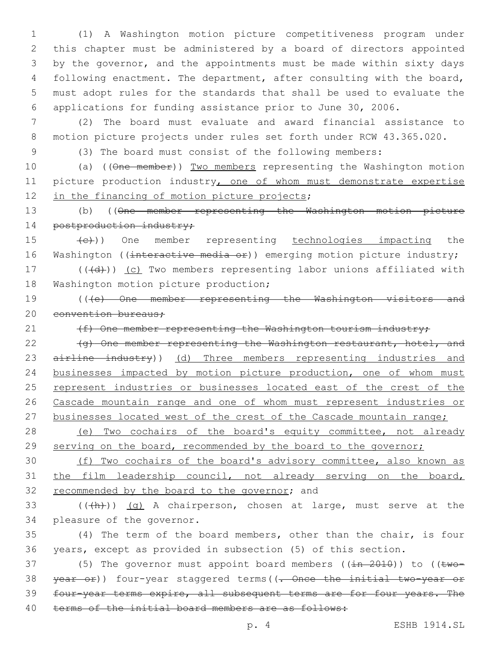(1) A Washington motion picture competitiveness program under this chapter must be administered by a board of directors appointed by the governor, and the appointments must be made within sixty days following enactment. The department, after consulting with the board, must adopt rules for the standards that shall be used to evaluate the applications for funding assistance prior to June 30, 2006.

7 (2) The board must evaluate and award financial assistance to 8 motion picture projects under rules set forth under RCW 43.365.020.

9 (3) The board must consist of the following members:

10 (a) ((One member)) Two members representing the Washington motion 11 picture production industry, one of whom must demonstrate expertise 12 in the financing of motion picture projects;

13 (b) ((One member representing the Washington motion picture 14 postproduction industry;

15 (e)) One member representing technologies impacting the 16 Washington ((interactive media or)) emerging motion picture industry;

17 (((d))) (c) Two members representing labor unions affiliated with 18 Washington motion picture production;

19 (((e) One member representing the Washington visitors and 20 convention bureaus:

21 (f) One member representing the Washington tourism industry;

22 (g) One member representing the Washington restaurant, hotel, and 23 airline industry)) (d) Three members representing industries and 24 businesses impacted by motion picture production, one of whom must 25 represent industries or businesses located east of the crest of the 26 Cascade mountain range and one of whom must represent industries or 27 businesses located west of the crest of the Cascade mountain range;

28 (e) Two cochairs of the board's equity committee, not already 29 serving on the board, recommended by the board to the governor;

30 (f) Two cochairs of the board's advisory committee, also known as 31 the film leadership council, not already serving on the board, 32 recommended by the board to the governor; and

33  $((+h))$   $(q)$  A chairperson, chosen at large, must serve at the 34 pleasure of the governor.

35 (4) The term of the board members, other than the chair, is four 36 years, except as provided in subsection (5) of this section.

37 (5) The governor must appoint board members  $((\pm n - 2010))$  to  $((\pm wo -$ 38 year or)) four-year staggered terms ((. Once the initial two-year or 39 four-year terms expire, all subsequent terms are for four years. The 40 terms of the initial board members are as follows: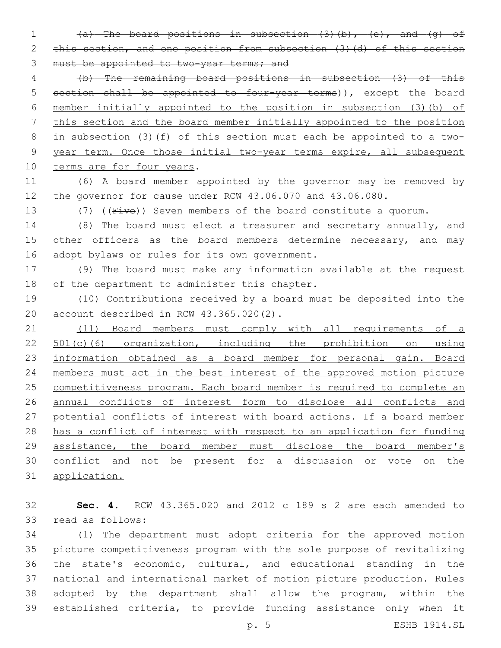(a) The board positions in subsection (3)(b), (e), and (g) of 2 this section, and one position from subsection (3) (d) of this section 3 must be appointed to two-year terms; and

 (b) The remaining board positions in subsection (3) of this section shall be appointed to four-year terms)), except the board member initially appointed to the position in subsection (3)(b) of this section and the board member initially appointed to the position in subsection (3)(f) of this section must each be appointed to a two- year term. Once those initial two-year terms expire, all subsequent 10 terms are for four years.

 (6) A board member appointed by the governor may be removed by the governor for cause under RCW 43.06.070 and 43.06.080.

13 (7) ((Five)) Seven members of the board constitute a quorum.

 (8) The board must elect a treasurer and secretary annually, and 15 other officers as the board members determine necessary, and may 16 adopt bylaws or rules for its own government.

 (9) The board must make any information available at the request 18 of the department to administer this chapter.

 (10) Contributions received by a board must be deposited into the 20 account described in RCW 43.365.020(2).

 (11) Board members must comply with all requirements of a 22 501(c)(6) organization, including the prohibition on using 23 information obtained as a board member for personal gain. Board members must act in the best interest of the approved motion picture competitiveness program. Each board member is required to complete an annual conflicts of interest form to disclose all conflicts and potential conflicts of interest with board actions. If a board member has a conflict of interest with respect to an application for funding assistance, the board member must disclose the board member's conflict and not be present for a discussion or vote on the application.

 **Sec. 4.** RCW 43.365.020 and 2012 c 189 s 2 are each amended to 33 read as follows:

 (1) The department must adopt criteria for the approved motion picture competitiveness program with the sole purpose of revitalizing the state's economic, cultural, and educational standing in the national and international market of motion picture production. Rules adopted by the department shall allow the program, within the established criteria, to provide funding assistance only when it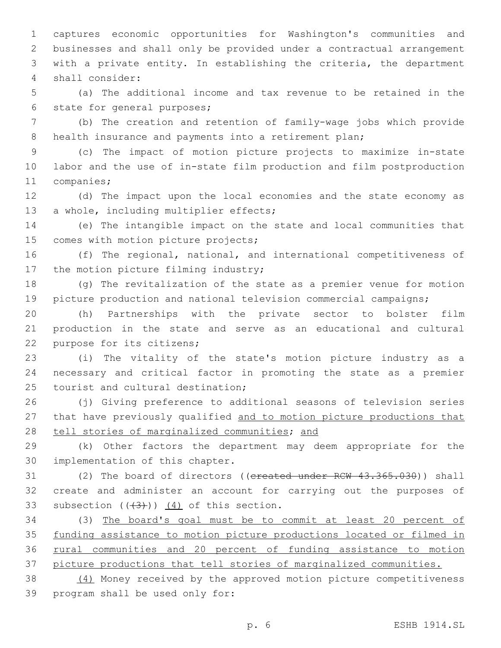captures economic opportunities for Washington's communities and businesses and shall only be provided under a contractual arrangement with a private entity. In establishing the criteria, the department shall consider:4

 (a) The additional income and tax revenue to be retained in the 6 state for general purposes;

 (b) The creation and retention of family-wage jobs which provide 8 health insurance and payments into a retirement plan;

 (c) The impact of motion picture projects to maximize in-state labor and the use of in-state film production and film postproduction 11 companies;

 (d) The impact upon the local economies and the state economy as 13 a whole, including multiplier effects;

 (e) The intangible impact on the state and local communities that 15 comes with motion picture projects;

 (f) The regional, national, and international competitiveness of 17 the motion picture filming industry;

 (g) The revitalization of the state as a premier venue for motion picture production and national television commercial campaigns;

 (h) Partnerships with the private sector to bolster film production in the state and serve as an educational and cultural 22 purpose for its citizens;

 (i) The vitality of the state's motion picture industry as a necessary and critical factor in promoting the state as a premier 25 tourist and cultural destination;

 (j) Giving preference to additional seasons of television series that have previously qualified and to motion picture productions that 28 tell stories of marginalized communities; and

 (k) Other factors the department may deem appropriate for the 30 implementation of this chapter.

31 (2) The board of directors ((ereated under RCW 43.365.030)) shall create and administer an account for carrying out the purposes of 33 subsection  $((+3))$   $(4)$  of this section.

 (3) The board's goal must be to commit at least 20 percent of funding assistance to motion picture productions located or filmed in rural communities and 20 percent of funding assistance to motion picture productions that tell stories of marginalized communities.

 (4) Money received by the approved motion picture competitiveness 39 program shall be used only for: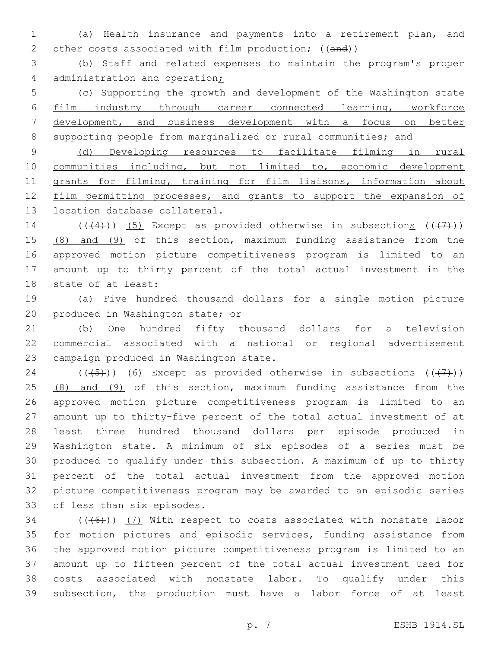(a) Health insurance and payments into a retirement plan, and 2 other costs associated with film production; ((and))

 (b) Staff and related expenses to maintain the program's proper 4 administration and operation;

 (c) Supporting the growth and development of the Washington state film industry through career connected learning, workforce development, and business development with a focus on better 8 supporting people from marginalized or rural communities; and

 (d) Developing resources to facilitate filming in rural communities including, but not limited to, economic development 11 grants for filming, training for film liaisons, information about 12 film permitting processes, and grants to support the expansion of 13 location database collateral.

14 ( $((+4)$ )) (5) Except as provided otherwise in subsections  $((+7)$ ) 15 (8) and (9) of this section, maximum funding assistance from the approved motion picture competitiveness program is limited to an amount up to thirty percent of the total actual investment in the 18 state of at least:

 (a) Five hundred thousand dollars for a single motion picture 20 produced in Washington state; or

 (b) One hundred fifty thousand dollars for a television commercial associated with a national or regional advertisement 23 campaign produced in Washington state.

24 ( $(\overline{(-5+)})$  (6) Except as provided otherwise in subsections ( $(\overline{(+7+)})$ ) 25 (8) and (9) of this section, maximum funding assistance from the approved motion picture competitiveness program is limited to an amount up to thirty-five percent of the total actual investment of at least three hundred thousand dollars per episode produced in Washington state. A minimum of six episodes of a series must be produced to qualify under this subsection. A maximum of up to thirty percent of the total actual investment from the approved motion picture competitiveness program may be awarded to an episodic series 33 of less than six episodes.

 (( $(46)$ )) (7) With respect to costs associated with nonstate labor for motion pictures and episodic services, funding assistance from the approved motion picture competitiveness program is limited to an amount up to fifteen percent of the total actual investment used for costs associated with nonstate labor. To qualify under this subsection, the production must have a labor force of at least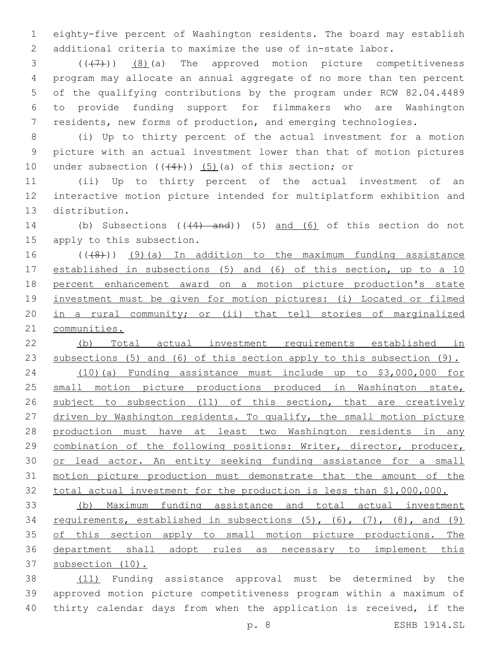eighty-five percent of Washington residents. The board may establish additional criteria to maximize the use of in-state labor.

  $((+7+))$   $(8)$  (a) The approved motion picture competitiveness program may allocate an annual aggregate of no more than ten percent of the qualifying contributions by the program under RCW 82.04.4489 to provide funding support for filmmakers who are Washington residents, new forms of production, and emerging technologies.

 (i) Up to thirty percent of the actual investment for a motion picture with an actual investment lower than that of motion pictures 10 under subsection  $((+4))$   $(5)$  (a) of this section; or

 (ii) Up to thirty percent of the actual investment of an interactive motion picture intended for multiplatform exhibition and 13 distribution.

14 (b) Subsections (( $(4)$  and)) (5) and (6) of this section do not 15 apply to this subsection.

16 (((8)) (9)(a) In addition to the maximum funding assistance established in subsections (5) and (6) of this section, up to a 10 percent enhancement award on a motion picture production's state investment must be given for motion pictures: (i) Located or filmed in a rural community; or (ii) that tell stories of marginalized communities.

 (b) Total actual investment requirements established in subsections (5) and (6) of this section apply to this subsection (9). (10)(a) Funding assistance must include up to \$3,000,000 for 25 small motion picture productions produced in Washington state, 26 subject to subsection (11) of this section, that are creatively 27 driven by Washington residents. To qualify, the small motion picture production must have at least two Washington residents in any

 combination of the following positions: Writer, director, producer, 30 or lead actor. An entity seeking funding assistance for a small motion picture production must demonstrate that the amount of the total actual investment for the production is less than \$1,000,000.

 (b) Maximum funding assistance and total actual investment requirements, established in subsections (5), (6), (7), (8), and (9) 35 of this section apply to small motion picture productions. The department shall adopt rules as necessary to implement this subsection (10).

 (11) Funding assistance approval must be determined by the approved motion picture competitiveness program within a maximum of thirty calendar days from when the application is received, if the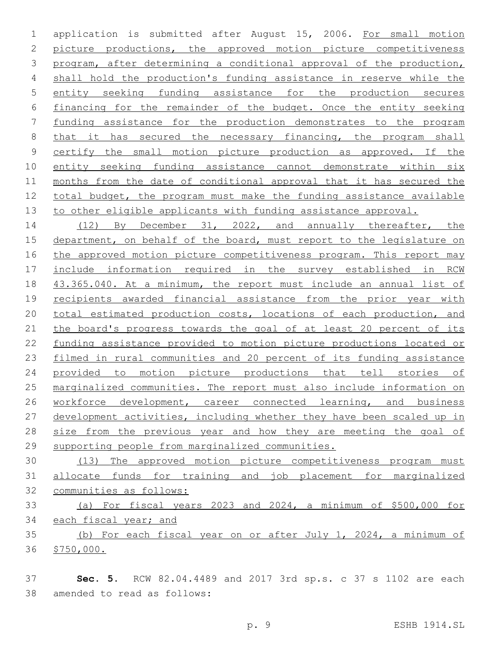application is submitted after August 15, 2006. For small motion picture productions, the approved motion picture competitiveness program, after determining a conditional approval of the production, shall hold the production's funding assistance in reserve while the entity seeking funding assistance for the production secures financing for the remainder of the budget. Once the entity seeking funding assistance for the production demonstrates to the program 8 that it has secured the necessary financing, the program shall certify the small motion picture production as approved. If the entity seeking funding assistance cannot demonstrate within six months from the date of conditional approval that it has secured the total budget, the program must make the funding assistance available 13 to other eligible applicants with funding assistance approval.

14 (12) By December 31, 2022, and annually thereafter, the department, on behalf of the board, must report to the legislature on 16 the approved motion picture competitiveness program. This report may include information required in the survey established in RCW 43.365.040. At a minimum, the report must include an annual list of recipients awarded financial assistance from the prior year with 20 total estimated production costs, locations of each production, and 21 the board's progress towards the goal of at least 20 percent of its funding assistance provided to motion picture productions located or filmed in rural communities and 20 percent of its funding assistance provided to motion picture productions that tell stories of marginalized communities. The report must also include information on 26 workforce development, career connected learning, and business development activities, including whether they have been scaled up in 28 size from the previous year and how they are meeting the goal of supporting people from marginalized communities.

 (13) The approved motion picture competitiveness program must allocate funds for training and job placement for marginalized communities as follows:

 (a) For fiscal years 2023 and 2024, a minimum of \$500,000 for 34 each fiscal year; and

 (b) For each fiscal year on or after July 1, 2024, a minimum of \$750,000.

 **Sec. 5.** RCW 82.04.4489 and 2017 3rd sp.s. c 37 s 1102 are each 38 amended to read as follows: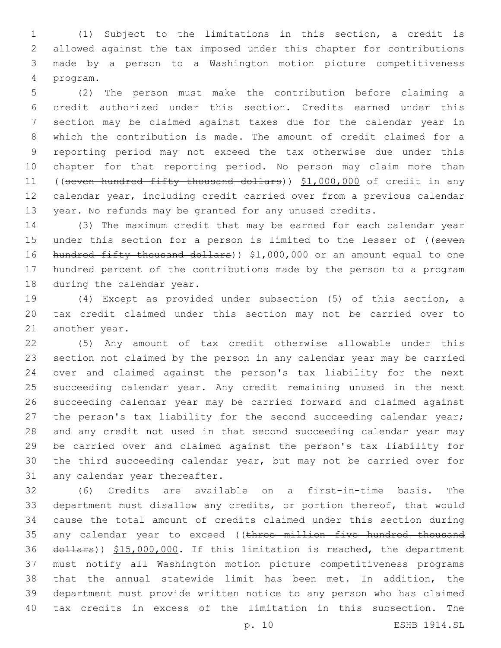(1) Subject to the limitations in this section, a credit is allowed against the tax imposed under this chapter for contributions made by a person to a Washington motion picture competitiveness program.4

 (2) The person must make the contribution before claiming a credit authorized under this section. Credits earned under this section may be claimed against taxes due for the calendar year in which the contribution is made. The amount of credit claimed for a reporting period may not exceed the tax otherwise due under this chapter for that reporting period. No person may claim more than ((seven hundred fifty thousand dollars)) \$1,000,000 of credit in any calendar year, including credit carried over from a previous calendar year. No refunds may be granted for any unused credits.

 (3) The maximum credit that may be earned for each calendar year 15 under this section for a person is limited to the lesser of ((seven 16 hundred fifty thousand dollars)) \$1,000,000 or an amount equal to one hundred percent of the contributions made by the person to a program 18 during the calendar year.

 (4) Except as provided under subsection (5) of this section, a tax credit claimed under this section may not be carried over to 21 another year.

 (5) Any amount of tax credit otherwise allowable under this section not claimed by the person in any calendar year may be carried over and claimed against the person's tax liability for the next succeeding calendar year. Any credit remaining unused in the next succeeding calendar year may be carried forward and claimed against 27 the person's tax liability for the second succeeding calendar year; and any credit not used in that second succeeding calendar year may be carried over and claimed against the person's tax liability for the third succeeding calendar year, but may not be carried over for 31 any calendar year thereafter.

 (6) Credits are available on a first-in-time basis. The department must disallow any credits, or portion thereof, that would cause the total amount of credits claimed under this section during 35 any calendar year to exceed ((three million five hundred thousand 36 dollars)) \$15,000,000. If this limitation is reached, the department must notify all Washington motion picture competitiveness programs that the annual statewide limit has been met. In addition, the department must provide written notice to any person who has claimed tax credits in excess of the limitation in this subsection. The

p. 10 ESHB 1914.SL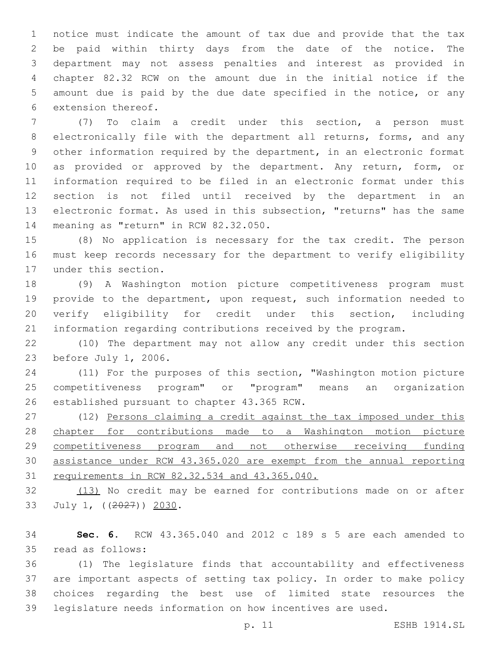notice must indicate the amount of tax due and provide that the tax be paid within thirty days from the date of the notice. The department may not assess penalties and interest as provided in chapter 82.32 RCW on the amount due in the initial notice if the amount due is paid by the due date specified in the notice, or any 6 extension thereof.

 (7) To claim a credit under this section, a person must electronically file with the department all returns, forms, and any other information required by the department, in an electronic format 10 as provided or approved by the department. Any return, form, or information required to be filed in an electronic format under this section is not filed until received by the department in an electronic format. As used in this subsection, "returns" has the same 14 meaning as "return" in RCW 82.32.050.

 (8) No application is necessary for the tax credit. The person must keep records necessary for the department to verify eligibility 17 under this section.

 (9) A Washington motion picture competitiveness program must provide to the department, upon request, such information needed to verify eligibility for credit under this section, including information regarding contributions received by the program.

 (10) The department may not allow any credit under this section 23 before July 1, 2006.

 (11) For the purposes of this section, "Washington motion picture competitiveness program" or "program" means an organization 26 established pursuant to chapter 43.365 RCW.

27 (12) Persons claiming a credit against the tax imposed under this chapter for contributions made to a Washington motion picture competitiveness program and not otherwise receiving funding assistance under RCW 43.365.020 are exempt from the annual reporting requirements in RCW 82.32.534 and 43.365.040.

32 (13) No credit may be earned for contributions made on or after 33 July 1, ((2027)) 2030.

 **Sec. 6.** RCW 43.365.040 and 2012 c 189 s 5 are each amended to 35 read as follows:

 (1) The legislature finds that accountability and effectiveness are important aspects of setting tax policy. In order to make policy choices regarding the best use of limited state resources the legislature needs information on how incentives are used.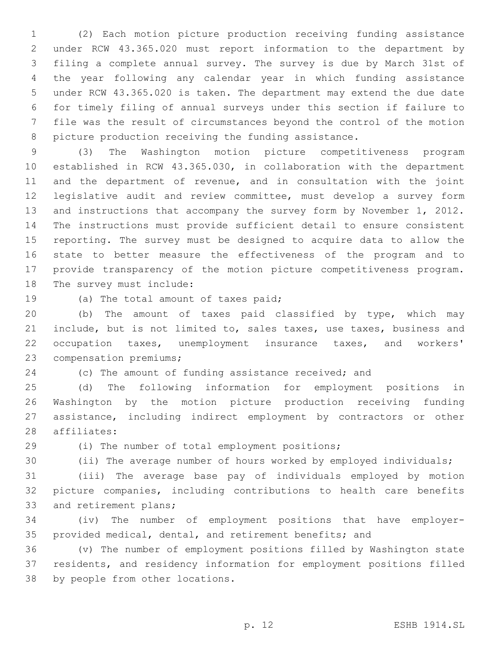(2) Each motion picture production receiving funding assistance under RCW 43.365.020 must report information to the department by filing a complete annual survey. The survey is due by March 31st of the year following any calendar year in which funding assistance under RCW 43.365.020 is taken. The department may extend the due date for timely filing of annual surveys under this section if failure to file was the result of circumstances beyond the control of the motion picture production receiving the funding assistance.

 (3) The Washington motion picture competitiveness program established in RCW 43.365.030, in collaboration with the department and the department of revenue, and in consultation with the joint legislative audit and review committee, must develop a survey form 13 and instructions that accompany the survey form by November 1, 2012. The instructions must provide sufficient detail to ensure consistent reporting. The survey must be designed to acquire data to allow the state to better measure the effectiveness of the program and to provide transparency of the motion picture competitiveness program. 18 The survey must include:

19 (a) The total amount of taxes paid;

 (b) The amount of taxes paid classified by type, which may include, but is not limited to, sales taxes, use taxes, business and occupation taxes, unemployment insurance taxes, and workers' 23 compensation premiums;

(c) The amount of funding assistance received; and

 (d) The following information for employment positions in Washington by the motion picture production receiving funding assistance, including indirect employment by contractors or other 28 affiliates:

29 (i) The number of total employment positions;

(ii) The average number of hours worked by employed individuals;

 (iii) The average base pay of individuals employed by motion picture companies, including contributions to health care benefits 33 and retirement plans;

 (iv) The number of employment positions that have employer-provided medical, dental, and retirement benefits; and

 (v) The number of employment positions filled by Washington state residents, and residency information for employment positions filled 38 by people from other locations.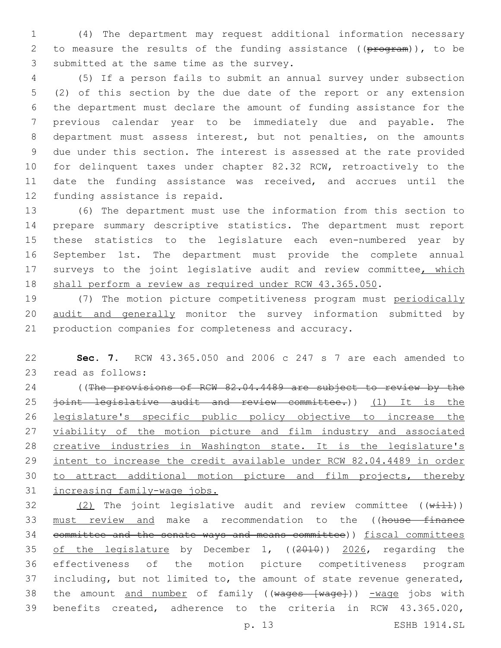(4) The department may request additional information necessary 2 to measure the results of the funding assistance ((program)), to be 3 submitted at the same time as the survey.

 (5) If a person fails to submit an annual survey under subsection (2) of this section by the due date of the report or any extension the department must declare the amount of funding assistance for the previous calendar year to be immediately due and payable. The department must assess interest, but not penalties, on the amounts due under this section. The interest is assessed at the rate provided for delinquent taxes under chapter 82.32 RCW, retroactively to the date the funding assistance was received, and accrues until the 12 funding assistance is repaid.

 (6) The department must use the information from this section to prepare summary descriptive statistics. The department must report these statistics to the legislature each even-numbered year by September 1st. The department must provide the complete annual 17 surveys to the joint legislative audit and review committee, which 18 shall perform a review as required under RCW 43.365.050.

 (7) The motion picture competitiveness program must periodically audit and generally monitor the survey information submitted by production companies for completeness and accuracy.

 **Sec. 7.** RCW 43.365.050 and 2006 c 247 s 7 are each amended to 23 read as follows:

24 ((The provisions of RCW 82.04.4489 are subject to review by the 25 <del>joint legislative audit and review committee.</del>)) (1) It is the legislature's specific public policy objective to increase the 27 viability of the motion picture and film industry and associated creative industries in Washington state. It is the legislature's 29 intent to increase the credit available under RCW 82.04.4489 in order to attract additional motion picture and film projects, thereby increasing family-wage jobs.

 $(2)$  The joint legislative audit and review committee  $((\overline{width}))$ 33 must review and make a recommendation to the ((house finance 34 committee and the senate ways and means committee)) fiscal committees of the legislature by December 1, ((2010)) 2026, regarding the effectiveness of the motion picture competitiveness program including, but not limited to, the amount of state revenue generated, 38 the amount and number of family ((wages [wage])) -wage jobs with benefits created, adherence to the criteria in RCW 43.365.020,

p. 13 ESHB 1914.SL